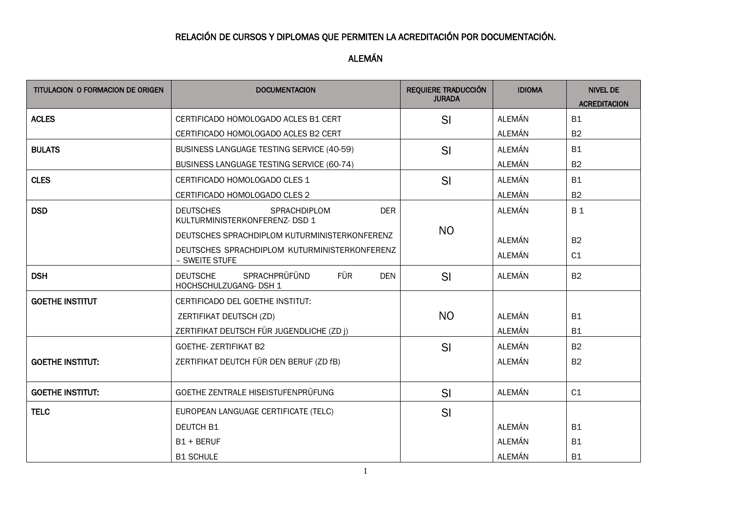## RELACIÓN DE CURSOS Y DIPLOMAS QUE PERMITEN LA ACREDITACIÓN POR DOCUMENTACIÓN.

ALEMÁN

| CERTIFICADO HOMOLOGADO ACLES B1 CERT                                                          |                                                                                              |                |                                                    |
|-----------------------------------------------------------------------------------------------|----------------------------------------------------------------------------------------------|----------------|----------------------------------------------------|
|                                                                                               |                                                                                              | <b>ALEMÁN</b>  | <b>B1</b>                                          |
| CERTIFICADO HOMOLOGADO ACLES B2 CERT                                                          |                                                                                              | ALEMÁN         | B <sub>2</sub>                                     |
| <b>BUSINESS LANGUAGE TESTING SERVICE (40-59)</b>                                              | SI                                                                                           | ALEMÁN         | <b>B1</b>                                          |
| <b>BUSINESS LANGUAGE TESTING SERVICE (60-74)</b>                                              |                                                                                              | ALEMÁN         | B <sub>2</sub>                                     |
| CERTIFICADO HOMOLOGADO CLES 1                                                                 | SI                                                                                           | ALEMÁN         | <b>B1</b>                                          |
| CERTIFICADO HOMOLOGADO CLES 2                                                                 |                                                                                              | ALEMÁN         | <b>B2</b>                                          |
| <b>DEUTSCHES</b><br>SPRACHDIPLOM<br><b>DER</b><br>KULTURMINISTERKONFERENZ- DSD 1              |                                                                                              | ALEMÁN         | <b>B1</b>                                          |
| DEUTSCHES SPRACHDIPLOM KUTURMINISTERKONFERENZ                                                 | N <sub>O</sub>                                                                               |                | B <sub>2</sub>                                     |
| DEUTSCHES SPRACHDIPLOM KUTURMINISTERKONFERENZ<br>- SWEITE STUFE                               |                                                                                              | <b>ALEMÁN</b>  | C1                                                 |
| <b>SPRACHPRÜFÜND</b><br><b>FÜR</b><br><b>DEUTSCHE</b><br><b>DEN</b><br>HOCHSCHULZUGANG- DSH 1 | SI                                                                                           | ALEMÁN         | <b>B2</b>                                          |
| CERTIFICADO DEL GOETHE INSTITUT:                                                              |                                                                                              |                |                                                    |
| ZERTIFIKAT DEUTSCH (ZD)                                                                       | N <sub>O</sub>                                                                               | ALEMÁN         | <b>B1</b>                                          |
| ZERTIFIKAT DEUTSCH FÜR JUGENDLICHE (ZD j)                                                     |                                                                                              | ALEMÁN         | <b>B1</b>                                          |
| <b>GOETHE- ZERTIFIKAT B2</b>                                                                  | SI                                                                                           | <b>ALEMÁN</b>  | <b>B2</b>                                          |
| ZERTIFIKAT DEUTCH FÜR DEN BERUF (ZD fB)                                                       |                                                                                              | <b>ALEMÁN</b>  | <b>B2</b>                                          |
| GOETHE ZENTRALE HISEISTUFENPRÜFUNG                                                            |                                                                                              | ALEMÁN         | C1                                                 |
|                                                                                               |                                                                                              |                |                                                    |
|                                                                                               |                                                                                              |                | <b>B1</b>                                          |
|                                                                                               |                                                                                              |                | <b>B1</b>                                          |
|                                                                                               |                                                                                              |                | <b>B1</b>                                          |
|                                                                                               | EUROPEAN LANGUAGE CERTIFICATE (TELC)<br><b>DEUTCH B1</b><br>$B1 + BERUF$<br><b>B1 SCHULE</b> | SI<br>SI<br>SI | ALEMÁN<br>ALEMÁN<br><b>ALEMÁN</b><br><b>ALEMÁN</b> |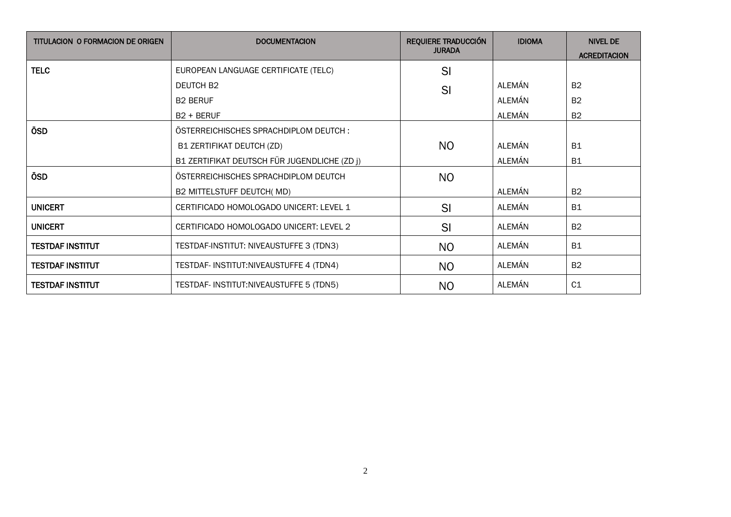| <b>TITULACION O FORMACION DE ORIGEN</b> | <b>DOCUMENTACION</b>                         | <b>REQUIERE TRADUCCIÓN</b> | <b>IDIOMA</b> | <b>NIVEL DE</b>     |
|-----------------------------------------|----------------------------------------------|----------------------------|---------------|---------------------|
|                                         |                                              | <b>JURADA</b>              |               | <b>ACREDITACION</b> |
| <b>TELC</b>                             | EUROPEAN LANGUAGE CERTIFICATE (TELC)         | SI                         |               |                     |
|                                         | DEUTCH B <sub>2</sub>                        | SI                         | ALEMÁN        | B <sub>2</sub>      |
|                                         | <b>B2 BERUF</b>                              |                            | ALEMÁN        | B <sub>2</sub>      |
|                                         | $B2 + BERUF$                                 |                            | ALEMÁN        | B <sub>2</sub>      |
| ÖSD                                     | ÖSTERREICHISCHES SPRACHDIPLOM DEUTCH:        |                            |               |                     |
|                                         | B1 ZERTIFIKAT DEUTCH (ZD)                    | N <sub>O</sub>             | ALEMÁN        | <b>B1</b>           |
|                                         | B1 ZERTIFIKAT DEUTSCH FÜR JUGENDLICHE (ZD j) |                            | ALEMÁN        | <b>B1</b>           |
| ÖSD                                     | ÖSTERREICHISCHES SPRACHDIPLOM DEUTCH         | N <sub>O</sub>             |               |                     |
|                                         | B2 MITTELSTUFF DEUTCH(MD)                    |                            | ALEMÁN        | <b>B2</b>           |
| <b>UNICERT</b>                          | CERTIFICADO HOMOLOGADO UNICERT: LEVEL 1      | SI                         | ALEMÁN        | <b>B1</b>           |
| <b>UNICERT</b>                          | CERTIFICADO HOMOLOGADO UNICERT: LEVEL 2      | SI                         | ALEMÁN        | <b>B2</b>           |
| <b>TESTDAF INSTITUT</b>                 | TESTDAF-INSTITUT: NIVEAUSTUFFE 3 (TDN3)      | N <sub>O</sub>             | ALEMÁN        | <b>B1</b>           |
| <b>TESTDAF INSTITUT</b>                 | TESTDAF- INSTITUT:NIVEAUSTUFFE 4 (TDN4)      | N <sub>O</sub>             | ALEMÁN        | B <sub>2</sub>      |
| <b>TESTDAF INSTITUT</b>                 | TESTDAF- INSTITUT:NIVEAUSTUFFE 5 (TDN5)      | N <sub>O</sub>             | ALEMÁN        | C <sub>1</sub>      |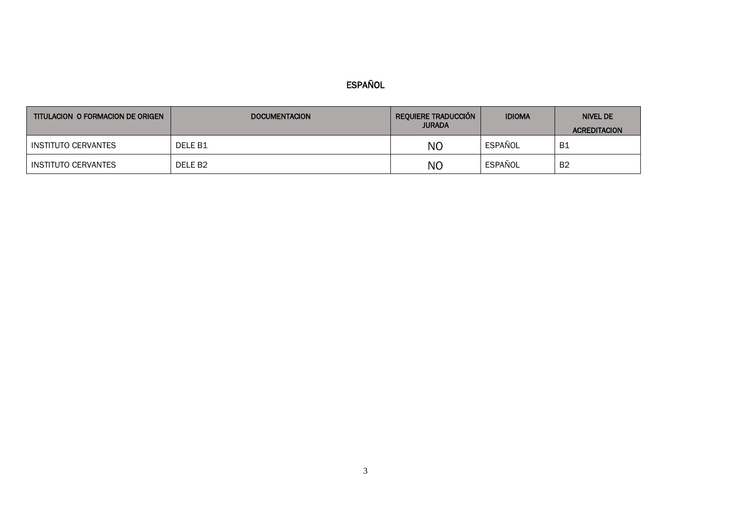## ESPAÑOL

| TITULACION O FORMACION DE ORIGEN | <b>DOCUMENTACION</b> | <b>REQUIERE TRADUCCIÓN</b><br><b>JURADA</b> | <b>IDIOMA</b> | NIVEL DE<br><b>ACREDITACION</b> |
|----------------------------------|----------------------|---------------------------------------------|---------------|---------------------------------|
| INSTITUTO CERVANTES              | DELE B1              | NO                                          | ESPAÑOL       | -B1                             |
| INSTITUTO CERVANTES              | DELE B <sub>2</sub>  | N <sub>O</sub>                              | ESPAÑOL       | B <sub>2</sub>                  |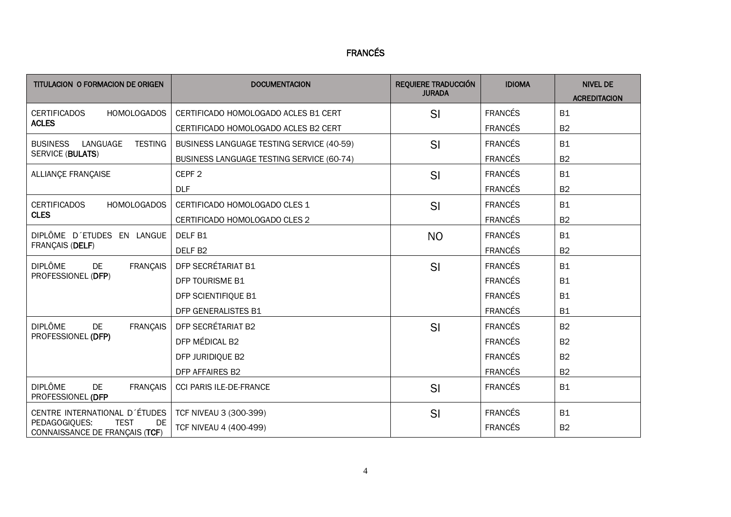## FRANCÉS

| TITULACION O FORMACION DE ORIGEN                                     | <b>DOCUMENTACION</b>                             | <b>REQUIERE TRADUCCIÓN</b><br><b>JURADA</b> | <b>IDIOMA</b>  | <b>NIVEL DE</b><br><b>ACREDITACION</b> |
|----------------------------------------------------------------------|--------------------------------------------------|---------------------------------------------|----------------|----------------------------------------|
| <b>CERTIFICADOS</b><br><b>HOMOLOGADOS</b>                            | CERTIFICADO HOMOLOGADO ACLES B1 CERT             | SI                                          | <b>FRANCÉS</b> | <b>B1</b>                              |
| <b>ACLES</b>                                                         | CERTIFICADO HOMOLOGADO ACLES B2 CERT             |                                             | <b>FRANCÉS</b> | B <sub>2</sub>                         |
| <b>BUSINESS</b><br>LANGUAGE<br><b>TESTING</b>                        | <b>BUSINESS LANGUAGE TESTING SERVICE (40-59)</b> | SI                                          | <b>FRANCÉS</b> | <b>B1</b>                              |
| <b>SERVICE (BULATS)</b>                                              | <b>BUSINESS LANGUAGE TESTING SERVICE (60-74)</b> |                                             | <b>FRANCÉS</b> | B <sub>2</sub>                         |
| ALLIANÇE FRANÇAISE                                                   | CEPF <sub>2</sub>                                | SI                                          | <b>FRANCÉS</b> | <b>B1</b>                              |
|                                                                      | <b>DLF</b>                                       |                                             | <b>FRANCÉS</b> | <b>B2</b>                              |
| <b>CERTIFICADOS</b><br><b>HOMOLOGADOS</b>                            | CERTIFICADO HOMOLOGADO CLES 1                    | SI                                          | <b>FRANCÉS</b> | <b>B1</b>                              |
| <b>CLES</b>                                                          | CERTIFICADO HOMOLOGADO CLES 2                    |                                             | <b>FRANCÉS</b> | B <sub>2</sub>                         |
| DIPLÔME D'ETUDES EN LANGUE                                           | DELF <sub>B1</sub>                               | <b>NO</b>                                   | <b>FRANCÉS</b> | <b>B1</b>                              |
| FRANÇAIS (DELF)                                                      | DELF <sub>B2</sub>                               |                                             | <b>FRANCÉS</b> | B <sub>2</sub>                         |
| <b>DIPLÔME</b><br><b>FRANÇAIS</b><br><b>DE</b>                       | <b>DFP SECRÉTARIAT B1</b>                        | SI                                          | <b>FRANCÉS</b> | <b>B1</b>                              |
| PROFESSIONEL (DFP)                                                   | DFP TOURISME B1                                  |                                             | <b>FRANCÉS</b> | <b>B1</b>                              |
|                                                                      | DFP SCIENTIFIQUE B1                              |                                             | <b>FRANCÉS</b> | <b>B1</b>                              |
|                                                                      | <b>DFP GENERALISTES B1</b>                       |                                             | <b>FRANCÉS</b> | <b>B1</b>                              |
| <b>DIPLÔME</b><br><b>FRANÇAIS</b><br>DE                              | DFP SECRÉTARIAT B2                               | SI                                          | <b>FRANCÉS</b> | <b>B2</b>                              |
| PROFESSIONEL (DFP)                                                   | DFP MÉDICAL B2                                   |                                             | <b>FRANCÉS</b> | B <sub>2</sub>                         |
|                                                                      | DFP JURIDIQUE B2                                 |                                             | <b>FRANCÉS</b> | <b>B2</b>                              |
|                                                                      | DFP AFFAIRES B2                                  |                                             | <b>FRANCÉS</b> | B <sub>2</sub>                         |
| <b>DIPLÔME</b><br><b>DE</b><br><b>FRANÇAIS</b><br>PROFESSIONEL (DFP  | CCI PARIS ILE-DE-FRANCE                          | SI                                          | <b>FRANCÉS</b> | <b>B1</b>                              |
| CENTRE INTERNATIONAL D'ÉTUDES                                        | TCF NIVEAU 3 (300-399)                           | SI                                          | <b>FRANCÉS</b> | <b>B1</b>                              |
| PEDAGOGIQUES:<br><b>TEST</b><br>DE<br>CONNAISSANCE DE FRANÇAIS (TCF) | TCF NIVEAU 4 (400-499)                           |                                             | <b>FRANCÉS</b> | <b>B2</b>                              |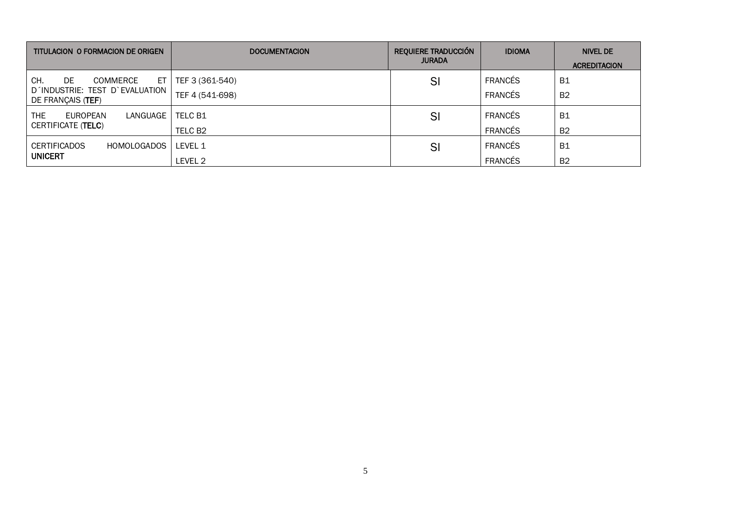| TITULACION O FORMACION DE ORIGEN                    | <b>DOCUMENTACION</b> | <b>REQUIERE TRADUCCIÓN</b><br><b>JURADA</b> | <b>IDIOMA</b>  | <b>NIVEL DE</b><br><b>ACREDITACION</b> |
|-----------------------------------------------------|----------------------|---------------------------------------------|----------------|----------------------------------------|
| CH.<br>ET<br>DE.<br>COMMERCE                        | TEF 3 (361-540)      | SI                                          | <b>FRANCÉS</b> | <b>B1</b>                              |
| D'INDUSTRIE: TEST D'EVALUATION<br>DE FRANÇAIS (TEF) | TEF 4 (541-698)      |                                             | <b>FRANCÉS</b> | <b>B2</b>                              |
| THE<br>EUROPEAN<br>LANGUAGE                         | TELC B1              | SI                                          | <b>FRANCÉS</b> | <b>B1</b>                              |
| CERTIFICATE (TELC)                                  | TELC B <sub>2</sub>  |                                             | <b>FRANCÉS</b> | <b>B2</b>                              |
| <b>CERTIFICADOS</b><br><b>HOMOLOGADOS</b>           | LEVEL 1              | SI                                          | <b>FRANCÉS</b> | <b>B1</b>                              |
| <b>UNICERT</b>                                      | LEVEL 2              |                                             | <b>FRANCÉS</b> | <b>B2</b>                              |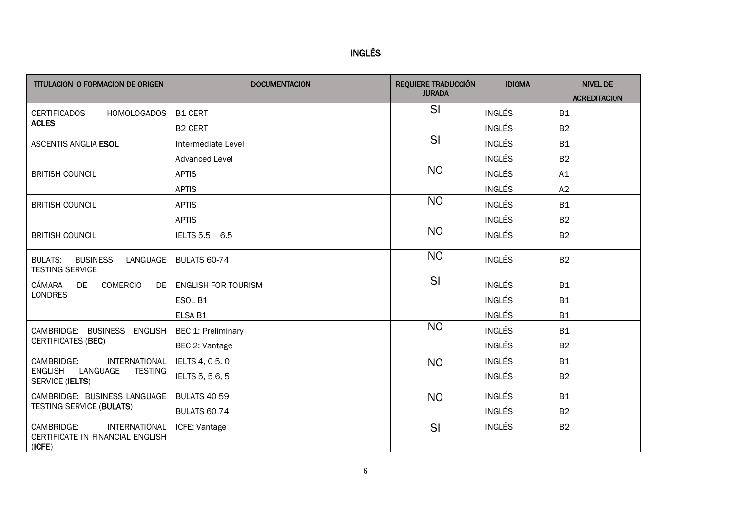| $\overline{\phantom{a}}$<br>L<br>INGI |  |
|---------------------------------------|--|
|                                       |  |

| <b>TITULACION O FORMACION DE ORIGEN</b>                                   | <b>DOCUMENTACION</b>      | <b>REQUIERE TRADUCCIÓN</b><br><b>JURADA</b> | <b>IDIOMA</b> | <b>NIVEL DE</b><br><b>ACREDITACION</b> |
|---------------------------------------------------------------------------|---------------------------|---------------------------------------------|---------------|----------------------------------------|
| <b>CERTIFICADOS</b><br>HOMOLOGADOS                                        | <b>B1 CERT</b>            | SI                                          | <b>INGLÉS</b> | <b>B1</b>                              |
| <b>ACLES</b>                                                              | <b>B2 CERT</b>            |                                             | <b>INGLÉS</b> | B <sub>2</sub>                         |
| <b>ASCENTIS ANGLIA ESOL</b>                                               | Intermediate Level        | SI                                          | <b>INGLÉS</b> | <b>B1</b>                              |
|                                                                           | <b>Advanced Level</b>     |                                             | <b>INGLÉS</b> | <b>B2</b>                              |
| <b>BRITISH COUNCIL</b>                                                    | <b>APTIS</b>              | <b>NO</b>                                   | <b>INGLÉS</b> | A1                                     |
|                                                                           | <b>APTIS</b>              |                                             | <b>INGLÉS</b> | A2                                     |
| <b>BRITISH COUNCIL</b>                                                    | <b>APTIS</b>              | <b>NO</b>                                   | <b>INGLÉS</b> | <b>B1</b>                              |
|                                                                           | <b>APTIS</b>              |                                             | <b>INGLÉS</b> | <b>B2</b>                              |
| <b>BRITISH COUNCIL</b>                                                    | IELTS 5.5 - 6.5           | <b>NO</b>                                   | <b>INGLÉS</b> | <b>B2</b>                              |
| LANGUAGE<br><b>BULATS:</b><br><b>BUSINESS</b><br><b>TESTING SERVICE</b>   | <b>BULATS 60-74</b>       | <b>NO</b>                                   | <b>INGLÉS</b> | <b>B2</b>                              |
| CÁMARA<br>DE<br><b>COMERCIO</b>                                           | DE   ENGLISH FOR TOURISM  | $\overline{\mathsf{SI}}$                    | <b>INGLÉS</b> | <b>B1</b>                              |
| <b>LONDRES</b>                                                            | ESOL B1                   |                                             | <b>INGLÉS</b> | <b>B1</b>                              |
|                                                                           | ELSA B1                   |                                             | <b>INGLÉS</b> | <b>B1</b>                              |
| CAMBRIDGE: BUSINESS ENGLISH                                               | <b>BEC 1: Preliminary</b> | <b>NO</b>                                   | <b>INGLÉS</b> | <b>B1</b>                              |
| <b>CERTIFICATES (BEC)</b>                                                 | BEC 2: Vantage            |                                             | <b>INGLÉS</b> | <b>B2</b>                              |
| CAMBRIDGE:<br><b>INTERNATIONAL</b>                                        | IELTS 4, 0-5, 0           | <b>NO</b>                                   | <b>INGLÉS</b> | <b>B1</b>                              |
| <b>ENGLISH</b><br>LANGUAGE<br><b>TESTING</b><br><b>SERVICE (IELTS)</b>    | IELTS 5, 5-6, 5           |                                             | <b>INGLÉS</b> | <b>B2</b>                              |
| CAMBRIDGE: BUSINESS LANGUAGE                                              | <b>BULATS 40-59</b>       | <b>NO</b>                                   | <b>INGLÉS</b> | <b>B1</b>                              |
| <b>TESTING SERVICE (BULATS)</b>                                           | <b>BULATS 60-74</b>       |                                             | <b>INGLÉS</b> | <b>B2</b>                              |
| CAMBRIDGE:<br>INTERNATIONAL<br>CERTIFICATE IN FINANCIAL ENGLISH<br>(ICFE) | ICFE: Vantage             | SI                                          | <b>INGLÉS</b> | <b>B2</b>                              |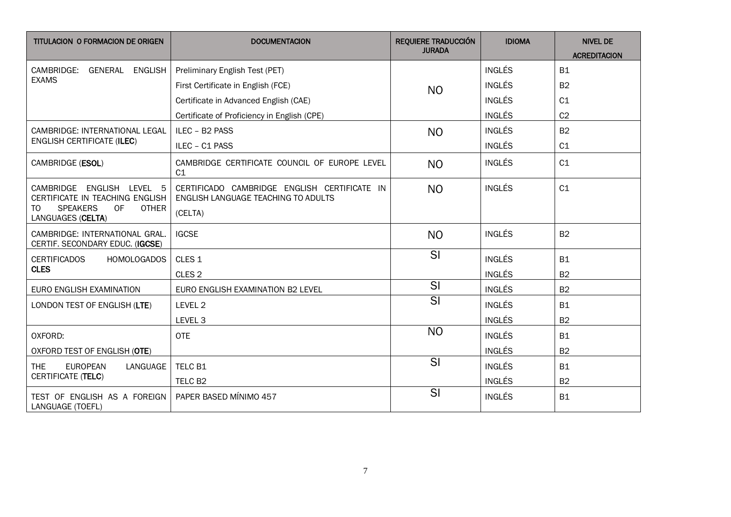| TITULACION O FORMACION DE ORIGEN                                                                                                   | <b>DOCUMENTACION</b>                                                                           | <b>REQUIERE TRADUCCIÓN</b><br><b>JURADA</b> | <b>IDIOMA</b> | <b>NIVEL DE</b><br><b>ACREDITACION</b> |
|------------------------------------------------------------------------------------------------------------------------------------|------------------------------------------------------------------------------------------------|---------------------------------------------|---------------|----------------------------------------|
| CAMBRIDGE: GENERAL ENGLISH                                                                                                         | Preliminary English Test (PET)                                                                 |                                             | <b>INGLÉS</b> | <b>B1</b>                              |
| <b>EXAMS</b>                                                                                                                       | First Certificate in English (FCE)                                                             | <b>NO</b>                                   | <b>INGLÉS</b> | B <sub>2</sub>                         |
|                                                                                                                                    | Certificate in Advanced English (CAE)                                                          |                                             | <b>INGLÉS</b> | C <sub>1</sub>                         |
|                                                                                                                                    | Certificate of Proficiency in English (CPE)                                                    |                                             | <b>INGLÉS</b> | C <sub>2</sub>                         |
| CAMBRIDGE: INTERNATIONAL LEGAL                                                                                                     | ILEC - B2 PASS                                                                                 | <b>NO</b>                                   | <b>INGLÉS</b> | B2                                     |
| <b>ENGLISH CERTIFICATE (ILEC)</b>                                                                                                  | ILEC - C1 PASS                                                                                 |                                             | <b>INGLÉS</b> | C1                                     |
| CAMBRIDGE (ESOL)                                                                                                                   | CAMBRIDGE CERTIFICATE COUNCIL OF EUROPE LEVEL<br>C1                                            | <b>NO</b>                                   | <b>INGLÉS</b> | C1                                     |
| CAMBRIDGE ENGLISH LEVEL 5<br>CERTIFICATE IN TEACHING ENGLISH<br><b>SPEAKERS</b><br>OF.<br><b>OTHER</b><br>TO.<br>LANGUAGES (CELTA) | CERTIFICADO CAMBRIDGE ENGLISH CERTIFICATE IN<br>ENGLISH LANGUAGE TEACHING TO ADULTS<br>(CELTA) | <b>NO</b>                                   | <b>INGLÉS</b> | C1                                     |
| CAMBRIDGE: INTERNATIONAL GRAL.<br>CERTIF. SECONDARY EDUC. (IGCSE)                                                                  | <b>IGCSE</b>                                                                                   | <b>NO</b>                                   | <b>INGLÉS</b> | <b>B2</b>                              |
| <b>CERTIFICADOS</b><br><b>HOMOLOGADOS</b>                                                                                          | CLES <sub>1</sub>                                                                              | SI                                          | <b>INGLÉS</b> | <b>B1</b>                              |
| <b>CLES</b>                                                                                                                        | CLES <sub>2</sub>                                                                              |                                             | <b>INGLÉS</b> | B2                                     |
| EURO ENGLISH EXAMINATION                                                                                                           | EURO ENGLISH EXAMINATION B2 LEVEL                                                              | $\overline{\mathsf{SI}}$                    | <b>INGLÉS</b> | <b>B2</b>                              |
| LONDON TEST OF ENGLISH (LTE)                                                                                                       | LEVEL 2                                                                                        | SI                                          | <b>INGLÉS</b> | <b>B1</b>                              |
|                                                                                                                                    | LEVEL <sub>3</sub>                                                                             |                                             | <b>INGLÉS</b> | B <sub>2</sub>                         |
| OXFORD:                                                                                                                            | <b>OTE</b>                                                                                     | <b>NO</b>                                   | <b>INGLÉS</b> | <b>B1</b>                              |
| OXFORD TEST OF ENGLISH (OTE)                                                                                                       |                                                                                                |                                             | <b>INGLÉS</b> | B <sub>2</sub>                         |
| <b>THE</b><br><b>EUROPEAN</b><br>LANGUAGE                                                                                          | TELC B1                                                                                        | SI                                          | <b>INGLÉS</b> | <b>B1</b>                              |
| CERTIFICATE (TELC)                                                                                                                 | TELC B <sub>2</sub>                                                                            |                                             | <b>INGLÉS</b> | <b>B2</b>                              |
| TEST OF ENGLISH AS A FOREIGN<br>LANGUAGE (TOEFL)                                                                                   | PAPER BASED MÍNIMO 457                                                                         | SI                                          | <b>INGLÉS</b> | <b>B1</b>                              |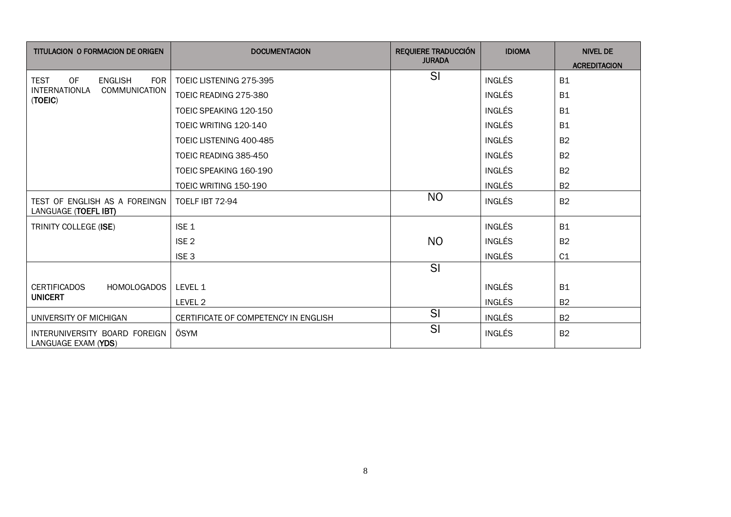| TITULACION O FORMACION DE ORIGEN                         | <b>DOCUMENTACION</b>                 | <b>REQUIERE TRADUCCIÓN</b><br><b>JURADA</b> | <b>IDIOMA</b> | <b>NIVEL DE</b><br><b>ACREDITACION</b> |
|----------------------------------------------------------|--------------------------------------|---------------------------------------------|---------------|----------------------------------------|
| <b>OF</b><br><b>FOR</b><br><b>TEST</b><br><b>ENGLISH</b> | TOEIC LISTENING 275-395              | SI                                          | <b>INGLÉS</b> | <b>B1</b>                              |
| <b>INTERNATIONLA</b><br>COMMUNICATION<br>(TOEIC)         | TOEIC READING 275-380                |                                             | <b>INGLÉS</b> | <b>B1</b>                              |
|                                                          | TOEIC SPEAKING 120-150               |                                             | <b>INGLÉS</b> | <b>B1</b>                              |
|                                                          | TOEIC WRITING 120-140                |                                             | <b>INGLÉS</b> | <b>B1</b>                              |
|                                                          | TOEIC LISTENING 400-485              |                                             | <b>INGLÉS</b> | <b>B2</b>                              |
|                                                          | TOEIC READING 385-450                |                                             | <b>INGLÉS</b> | <b>B2</b>                              |
|                                                          | TOEIC SPEAKING 160-190               |                                             | <b>INGLÉS</b> | <b>B2</b>                              |
|                                                          | TOEIC WRITING 150-190                |                                             | <b>INGLÉS</b> | <b>B2</b>                              |
| TEST OF ENGLISH AS A FOREINGN<br>LANGUAGE (TOEFL IBT)    | <b>TOELF IBT 72-94</b>               | NO                                          | <b>INGLÉS</b> | B2                                     |
| TRINITY COLLEGE (ISE)                                    | ISE <sub>1</sub>                     |                                             | <b>INGLÉS</b> | <b>B1</b>                              |
|                                                          | ISE <sub>2</sub>                     | N <sub>O</sub>                              | <b>INGLÉS</b> | <b>B2</b>                              |
|                                                          | ISE <sub>3</sub>                     |                                             | <b>INGLÉS</b> | C1                                     |
|                                                          |                                      | SI                                          |               |                                        |
| <b>HOMOLOGADOS</b><br><b>CERTIFICADOS</b>                | LEVEL 1                              |                                             | <b>INGLÉS</b> | <b>B1</b>                              |
| <b>UNICERT</b>                                           | LEVEL 2                              |                                             | <b>INGLÉS</b> | <b>B2</b>                              |
| UNIVERSITY OF MICHIGAN                                   | CERTIFICATE OF COMPETENCY IN ENGLISH | SI                                          | <b>INGLÉS</b> | <b>B2</b>                              |
| INTERUNIVERSITY BOARD FOREIGN<br>LANGUAGE EXAM (YDS)     | ÖSYM                                 | SI                                          | <b>INGLÉS</b> | <b>B2</b>                              |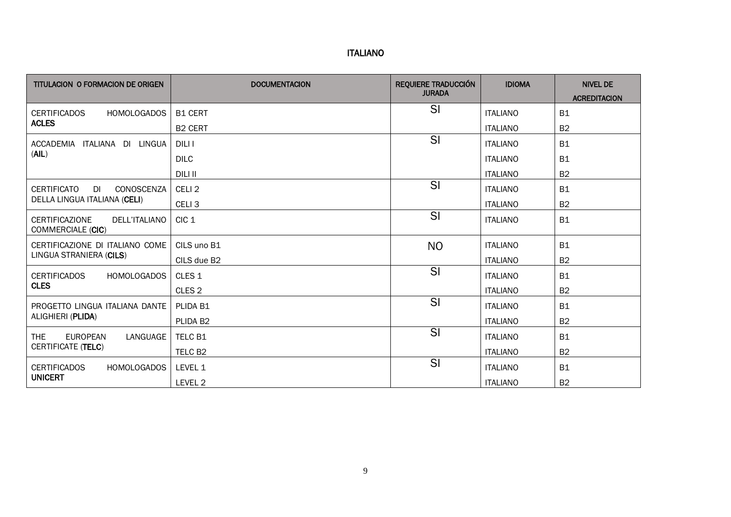| TITULACION O FORMACION DE ORIGEN                            | <b>DOCUMENTACION</b> | <b>REQUIERE TRADUCCIÓN</b><br><b>JURADA</b> | <b>IDIOMA</b>   | <b>NIVEL DE</b><br><b>ACREDITACION</b> |
|-------------------------------------------------------------|----------------------|---------------------------------------------|-----------------|----------------------------------------|
| <b>CERTIFICADOS</b><br><b>HOMOLOGADOS</b>                   | <b>B1 CERT</b>       | SI                                          | <b>ITALIANO</b> | <b>B1</b>                              |
| <b>ACLES</b>                                                | <b>B2 CERT</b>       |                                             | <b>ITALIANO</b> | <b>B2</b>                              |
| ITALIANA DI LINGUA<br>ACCADEMIA                             | DILI I               | SI                                          | <b>ITALIANO</b> | <b>B1</b>                              |
| (AIL)                                                       | <b>DILC</b>          |                                             | <b>ITALIANO</b> | <b>B1</b>                              |
|                                                             | DILI II              |                                             | <b>ITALIANO</b> | <b>B2</b>                              |
| <b>CERTIFICATO</b><br>CONOSCENZA<br>DI                      | CELI <sub>2</sub>    | SI                                          | <b>ITALIANO</b> | <b>B1</b>                              |
| DELLA LINGUA ITALIANA (CELI)                                | CELI <sub>3</sub>    |                                             | <b>ITALIANO</b> | B <sub>2</sub>                         |
| <b>CERTIFICAZIONE</b><br>DELL'ITALIANO<br>COMMERCIALE (CIC) | CIC <sub>1</sub>     | SI                                          | <b>ITALIANO</b> | <b>B1</b>                              |
| CERTIFICAZIONE DI ITALIANO COME                             | CILS uno B1          | <b>NO</b>                                   | <b>ITALIANO</b> | <b>B1</b>                              |
| LINGUA STRANIERA (CILS)                                     | CILS due B2          |                                             | <b>ITALIANO</b> | <b>B2</b>                              |
| <b>CERTIFICADOS</b><br><b>HOMOLOGADOS</b>                   | CLES <sub>1</sub>    | SI                                          | <b>ITALIANO</b> | <b>B1</b>                              |
| <b>CLES</b>                                                 | CLES <sub>2</sub>    |                                             | <b>ITALIANO</b> | <b>B2</b>                              |
| PROGETTO LINGUA ITALIANA DANTE                              | PLIDA B1             | SI                                          | <b>ITALIANO</b> | <b>B1</b>                              |
| ALIGHIERI (PLIDA)                                           | PLIDA B2             |                                             | <b>ITALIANO</b> | <b>B2</b>                              |
| <b>THE</b><br><b>EUROPEAN</b><br>LANGUAGE                   | TELC B1              | SI                                          | <b>ITALIANO</b> | <b>B1</b>                              |
| <b>CERTIFICATE (TELC)</b>                                   | TELC B <sub>2</sub>  |                                             | <b>ITALIANO</b> | <b>B2</b>                              |
| <b>CERTIFICADOS</b><br><b>HOMOLOGADOS</b>                   | LEVEL 1              | SI                                          | <b>ITALIANO</b> | <b>B1</b>                              |
| <b>UNICERT</b>                                              | LEVEL 2              |                                             | <b>ITALIANO</b> | <b>B2</b>                              |